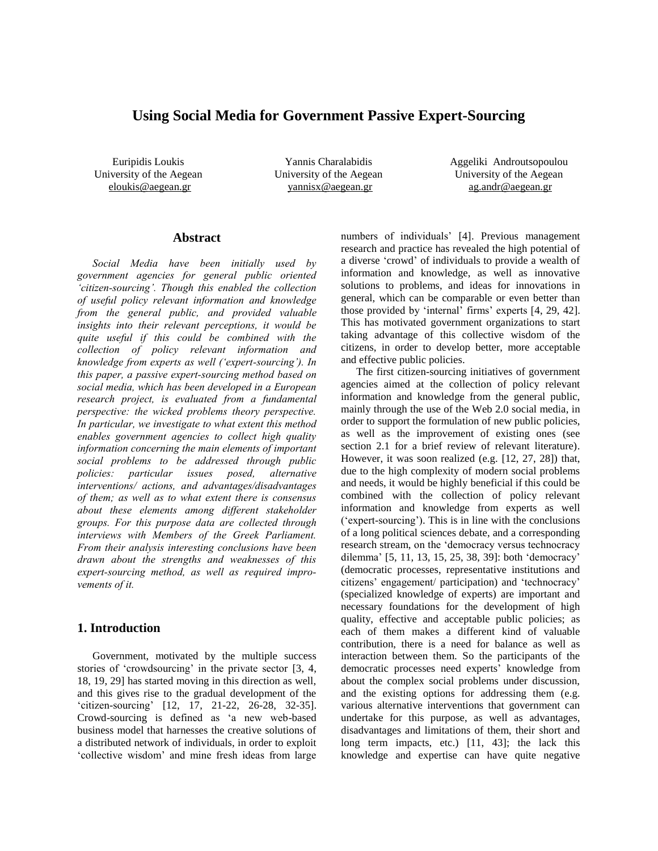# **Using Social Media for Government Passive Expert-Sourcing**

Euripidis Loukis University of the Aegean eloukis@aegean.gr

Yannis Charalabidis University of the Aegean yannisx@aegean.gr

Aggeliki Androutsopoulou University of the Aegean ag.andr@aegean.gr

#### **Abstract**

*Social Media have been initially used by government agencies for general public oriented 'citizen-sourcing'. Though this enabled the collection of useful policy relevant information and knowledge from the general public, and provided valuable insights into their relevant perceptions, it would be quite useful if this could be combined with the collection of policy relevant information and knowledge from experts as well ('expert-sourcing'). In this paper, a passive expert-sourcing method based on social media, which has been developed in a European research project, is evaluated from a fundamental perspective: the wicked problems theory perspective. In particular, we investigate to what extent this method enables government agencies to collect high quality information concerning the main elements of important social problems to be addressed through public policies: particular issues posed, alternative interventions/ actions, and advantages/disadvantages of them; as well as to what extent there is consensus about these elements among different stakeholder groups. For this purpose data are collected through interviews with Members of the Greek Parliament. From their analysis interesting conclusions have been drawn about the strengths and weaknesses of this expert-sourcing method, as well as required improvements of it.*

### **1. Introduction**

Government, motivated by the multiple success stories of 'crowdsourcing' in the private sector [3, 4, 18, 19, 29] has started moving in this direction as well, and this gives rise to the gradual development of the 'citizen-sourcing' [12, 17, 21-22, 26-28, 32-35]. Crowd-sourcing is defined as 'a new web-based business model that harnesses the creative solutions of a distributed network of individuals, in order to exploit 'collective wisdom' and mine fresh ideas from large

numbers of individuals' [4]. Previous management research and practice has revealed the high potential of a diverse 'crowd' of individuals to provide a wealth of information and knowledge, as well as innovative solutions to problems, and ideas for innovations in general, which can be comparable or even better than those provided by 'internal' firms' experts [4, 29, 42]. This has motivated government organizations to start taking advantage of this collective wisdom of the citizens, in order to develop better, more acceptable and effective public policies.

The first citizen-sourcing initiatives of government agencies aimed at the collection of policy relevant information and knowledge from the general public, mainly through the use of the Web 2.0 social media, in order to support the formulation of new public policies, as well as the improvement of existing ones (see section 2.1 for a brief review of relevant literature). However, it was soon realized (e.g. [12, 27, 28]) that, due to the high complexity of modern social problems and needs, it would be highly beneficial if this could be combined with the collection of policy relevant information and knowledge from experts as well ('expert-sourcing'). This is in line with the conclusions of a long political sciences debate, and a corresponding research stream, on the 'democracy versus technocracy dilemma' [5, 11, 13, 15, 25, 38, 39]: both 'democracy' (democratic processes, representative institutions and citizens' engagement/ participation) and 'technocracy' (specialized knowledge of experts) are important and necessary foundations for the development of high quality, effective and acceptable public policies; as each of them makes a different kind of valuable contribution, there is a need for balance as well as interaction between them. So the participants of the democratic processes need experts' knowledge from about the complex social problems under discussion, and the existing options for addressing them (e.g. various alternative interventions that government can undertake for this purpose, as well as advantages, disadvantages and limitations of them, their short and long term impacts, etc.) [11, 43]; the lack this knowledge and expertise can have quite negative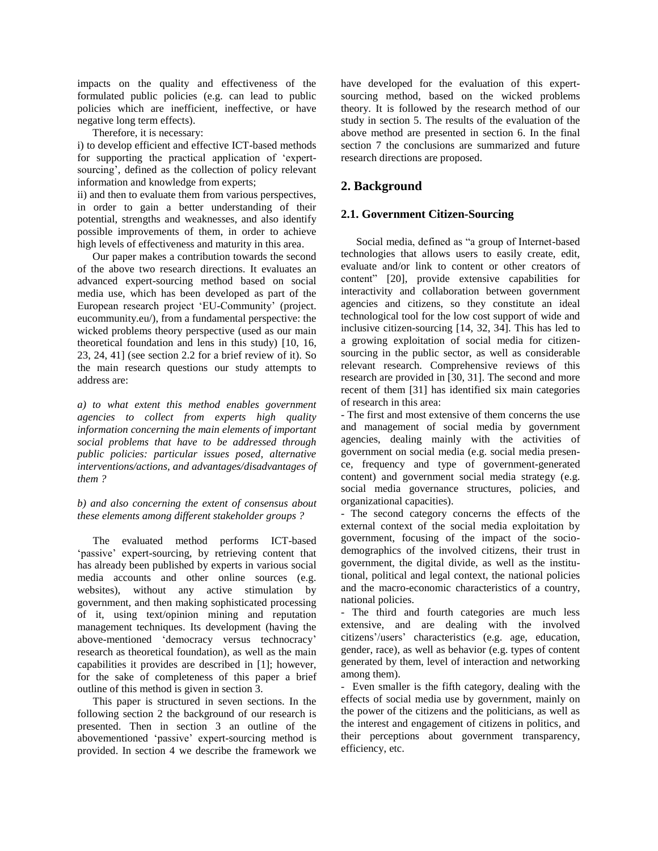impacts on the quality and effectiveness of the formulated public policies (e.g. can lead to public policies which are inefficient, ineffective, or have negative long term effects).

Therefore, it is necessary:

i) to develop efficient and effective ICT-based methods for supporting the practical application of 'expertsourcing', defined as the collection of policy relevant information and knowledge from experts;

ii) and then to evaluate them from various perspectives, in order to gain a better understanding of their potential, strengths and weaknesses, and also identify possible improvements of them, in order to achieve high levels of effectiveness and maturity in this area.

Our paper makes a contribution towards the second of the above two research directions. It evaluates an advanced expert-sourcing method based on social media use, which has been developed as part of the European research project 'EU-Community' (project. eucommunity.eu/), from a fundamental perspective: the wicked problems theory perspective (used as our main theoretical foundation and lens in this study) [10, 16, 23, 24, 41] (see section 2.2 for a brief review of it). So the main research questions our study attempts to address are:

*a) to what extent this method enables government agencies to collect from experts high quality information concerning the main elements of important social problems that have to be addressed through public policies: particular issues posed, alternative interventions/actions, and advantages/disadvantages of them ?*

### *b) and also concerning the extent of consensus about these elements among different stakeholder groups ?*

The evaluated method performs ICT-based 'passive' expert-sourcing, by retrieving content that has already been published by experts in various social media accounts and other online sources (e.g. websites), without any active stimulation by government, and then making sophisticated processing of it, using text/opinion mining and reputation management techniques. Its development (having the above-mentioned 'democracy versus technocracy' research as theoretical foundation), as well as the main capabilities it provides are described in [1]; however, for the sake of completeness of this paper a brief outline of this method is given in section 3.

This paper is structured in seven sections. In the following section 2 the background of our research is presented. Then in section 3 an outline of the abovementioned 'passive' expert-sourcing method is provided. In section 4 we describe the framework we have developed for the evaluation of this expertsourcing method, based on the wicked problems theory. It is followed by the research method of our study in section 5. The results of the evaluation of the above method are presented in section 6. In the final section 7 the conclusions are summarized and future research directions are proposed.

# **2. Background**

### **2.1. Government Citizen-Sourcing**

Social media, defined as "a group of Internet-based technologies that allows users to easily create, edit, evaluate and/or link to content or other creators of content" [20], provide extensive capabilities for interactivity and collaboration between government agencies and citizens, so they constitute an ideal technological tool for the low cost support of wide and inclusive citizen-sourcing [14, 32, 34]. This has led to a growing exploitation of social media for citizensourcing in the public sector, as well as considerable relevant research. Comprehensive reviews of this research are provided in [30, 31]. The second and more recent of them [31] has identified six main categories of research in this area:

- The first and most extensive of them concerns the use and management of social media by government agencies, dealing mainly with the activities of government on social media (e.g. social media presence, frequency and type of government-generated content) and government social media strategy (e.g. social media governance structures, policies, and organizational capacities).

- The second category concerns the effects of the external context of the social media exploitation by government, focusing of the impact of the sociodemographics of the involved citizens, their trust in government, the digital divide, as well as the institutional, political and legal context, the national policies and the macro-economic characteristics of a country, national policies.

- The third and fourth categories are much less extensive, and are dealing with the involved citizens'/users' characteristics (e.g. age, education, gender, race), as well as behavior (e.g. types of content generated by them, level of interaction and networking among them).

- Even smaller is the fifth category, dealing with the effects of social media use by government, mainly on the power of the citizens and the politicians, as well as the interest and engagement of citizens in politics, and their perceptions about government transparency, efficiency, etc.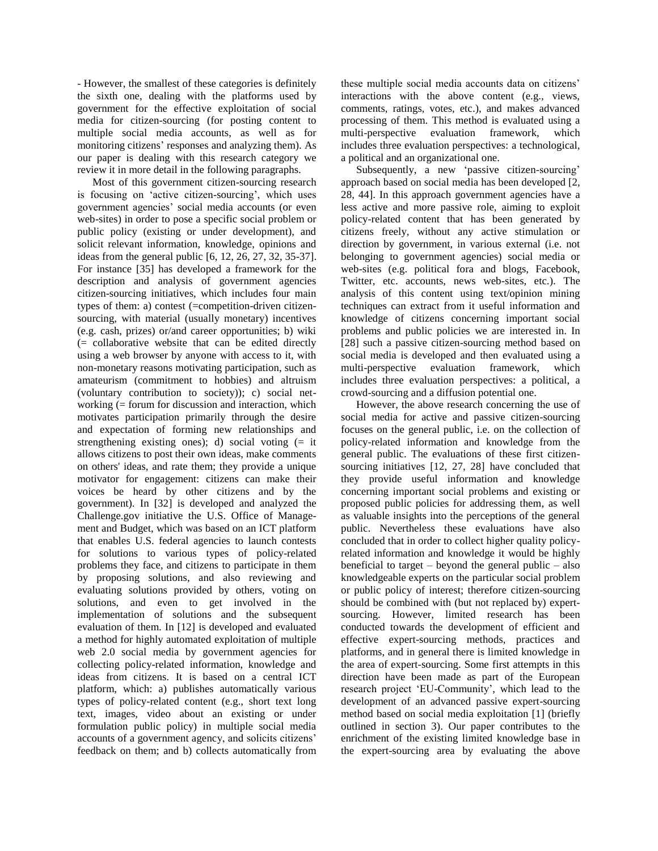- However, the smallest of these categories is definitely the sixth one, dealing with the platforms used by government for the effective exploitation of social media for citizen-sourcing (for posting content to multiple social media accounts, as well as for monitoring citizens' responses and analyzing them). As our paper is dealing with this research category we review it in more detail in the following paragraphs.

Most of this government citizen-sourcing research is focusing on 'active citizen-sourcing', which uses government agencies' social media accounts (or even web-sites) in order to pose a specific social problem or public policy (existing or under development), and solicit relevant information, knowledge, opinions and ideas from the general public [6, 12, 26, 27, 32, 35-37]. For instance [35] has developed a framework for the description and analysis of government agencies citizen-sourcing initiatives, which includes four main types of them: a) contest (=competition-driven citizensourcing, with material (usually monetary) incentives (e.g. cash, prizes) or/and career opportunities; b) wiki (= collaborative website that can be edited directly using a web browser by anyone with access to it, with non-monetary reasons motivating participation, such as amateurism (commitment to hobbies) and altruism (voluntary contribution to society)); c) social networking (= forum for discussion and interaction, which motivates participation primarily through the desire and expectation of forming new relationships and strengthening existing ones); d) social voting  $(= it)$ allows citizens to post their own ideas, make comments on others' ideas, and rate them; they provide a unique motivator for engagement: citizens can make their voices be heard by other citizens and by the government). In [32] is developed and analyzed the Challenge.gov initiative the U.S. Office of Management and Budget, which was based on an ICT platform that enables U.S. federal agencies to launch contests for solutions to various types of policy-related problems they face, and citizens to participate in them by proposing solutions, and also reviewing and evaluating solutions provided by others, voting on solutions, and even to get involved in the implementation of solutions and the subsequent evaluation of them. In [12] is developed and evaluated a method for highly automated exploitation of multiple web 2.0 social media by government agencies for collecting policy-related information, knowledge and ideas from citizens. It is based on a central ICT platform, which: a) publishes automatically various types of policy-related content (e.g., short text long text, images, video about an existing or under formulation public policy) in multiple social media accounts of a government agency, and solicits citizens' feedback on them; and b) collects automatically from

these multiple social media accounts data on citizens' interactions with the above content (e.g., views, comments, ratings, votes, etc.), and makes advanced processing of them. This method is evaluated using a multi-perspective evaluation framework, which includes three evaluation perspectives: a technological, a political and an organizational one.

Subsequently, a new 'passive citizen-sourcing' approach based on social media has been developed [2, 28, 44]. In this approach government agencies have a less active and more passive role, aiming to exploit policy-related content that has been generated by citizens freely, without any active stimulation or direction by government, in various external (i.e. not belonging to government agencies) social media or web-sites (e.g. political fora and blogs, Facebook, Twitter, etc. accounts, news web-sites, etc.). The analysis of this content using text/opinion mining techniques can extract from it useful information and knowledge of citizens concerning important social problems and public policies we are interested in. In [28] such a passive citizen-sourcing method based on social media is developed and then evaluated using a multi-perspective evaluation framework, which includes three evaluation perspectives: a political, a crowd-sourcing and a diffusion potential one.

However, the above research concerning the use of social media for active and passive citizen-sourcing focuses on the general public, i.e. on the collection of policy-related information and knowledge from the general public. The evaluations of these first citizensourcing initiatives [12, 27, 28] have concluded that they provide useful information and knowledge concerning important social problems and existing or proposed public policies for addressing them, as well as valuable insights into the perceptions of the general public. Nevertheless these evaluations have also concluded that in order to collect higher quality policyrelated information and knowledge it would be highly beneficial to target – beyond the general public – also knowledgeable experts on the particular social problem or public policy of interest; therefore citizen-sourcing should be combined with (but not replaced by) expertsourcing. However, limited research has been conducted towards the development of efficient and effective expert-sourcing methods, practices and platforms, and in general there is limited knowledge in the area of expert-sourcing. Some first attempts in this direction have been made as part of the European research project 'EU-Community', which lead to the development of an advanced passive expert-sourcing method based on social media exploitation [1] (briefly outlined in section 3). Our paper contributes to the enrichment of the existing limited knowledge base in the expert-sourcing area by evaluating the above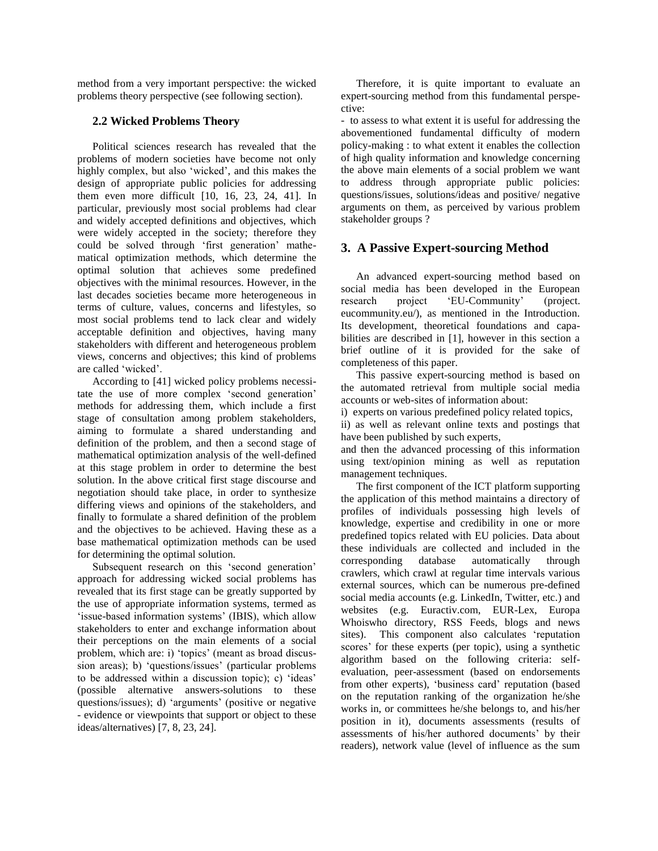method from a very important perspective: the wicked problems theory perspective (see following section).

### **2.2 Wicked Problems Theory**

Political sciences research has revealed that the problems of modern societies have become not only highly complex, but also 'wicked', and this makes the design of appropriate public policies for addressing them even more difficult [10, 16, 23, 24, 41]. In particular, previously most social problems had clear and widely accepted definitions and objectives, which were widely accepted in the society; therefore they could be solved through 'first generation' mathematical optimization methods, which determine the optimal solution that achieves some predefined objectives with the minimal resources. However, in the last decades societies became more heterogeneous in terms of culture, values, concerns and lifestyles, so most social problems tend to lack clear and widely acceptable definition and objectives, having many stakeholders with different and heterogeneous problem views, concerns and objectives; this kind of problems are called 'wicked'.

According to [41] wicked policy problems necessitate the use of more complex 'second generation' methods for addressing them, which include a first stage of consultation among problem stakeholders, aiming to formulate a shared understanding and definition of the problem, and then a second stage of mathematical optimization analysis of the well-defined at this stage problem in order to determine the best solution. In the above critical first stage discourse and negotiation should take place, in order to synthesize differing views and opinions of the stakeholders, and finally to formulate a shared definition of the problem and the objectives to be achieved. Having these as a base mathematical optimization methods can be used for determining the optimal solution.

Subsequent research on this 'second generation' approach for addressing wicked social problems has revealed that its first stage can be greatly supported by the use of appropriate information systems, termed as 'issue-based information systems' (IBIS), which allow stakeholders to enter and exchange information about their perceptions on the main elements of a social problem, which are: i) 'topics' (meant as broad discussion areas); b) 'questions/issues' (particular problems to be addressed within a discussion topic); c) 'ideas' (possible alternative answers-solutions to these questions/issues); d) 'arguments' (positive or negative - evidence or viewpoints that support or object to these ideas/alternatives) [7, 8, 23, 24].

Therefore, it is quite important to evaluate an expert-sourcing method from this fundamental perspective:

- to assess to what extent it is useful for addressing the abovementioned fundamental difficulty of modern policy-making : to what extent it enables the collection of high quality information and knowledge concerning the above main elements of a social problem we want to address through appropriate public policies: questions/issues, solutions/ideas and positive/ negative arguments on them, as perceived by various problem stakeholder groups ?

## **3. A Passive Expert-sourcing Method**

An advanced expert-sourcing method based on social media has been developed in the European research project 'EU-Community' (project. eucommunity.eu/), as mentioned in the Introduction. Its development, theoretical foundations and capabilities are described in [1], however in this section a brief outline of it is provided for the sake of completeness of this paper.

This passive expert-sourcing method is based on the automated retrieval from multiple social media accounts or web-sites of information about:

i) experts on various predefined policy related topics,

ii) as well as relevant online texts and postings that have been published by such experts,

and then the advanced processing of this information using text/opinion mining as well as reputation management techniques.

The first component of the ICT platform supporting the application of this method maintains a directory of profiles of individuals possessing high levels of knowledge, expertise and credibility in one or more predefined topics related with EU policies. Data about these individuals are collected and included in the corresponding database automatically through crawlers, which crawl at regular time intervals various external sources, which can be numerous pre-defined social media accounts (e.g. LinkedIn, Twitter, etc.) and websites (e.g. Euractiv.com, EUR-Lex, Europa Whoiswho directory, RSS Feeds, blogs and news sites). This component also calculates 'reputation scores' for these experts (per topic), using a synthetic algorithm based on the following criteria: selfevaluation, peer-assessment (based on endorsements from other experts), 'business card' reputation (based on the reputation ranking of the organization he/she works in, or committees he/she belongs to, and his/her position in it), documents assessments (results of assessments of his/her authored documents' by their readers), network value (level of influence as the sum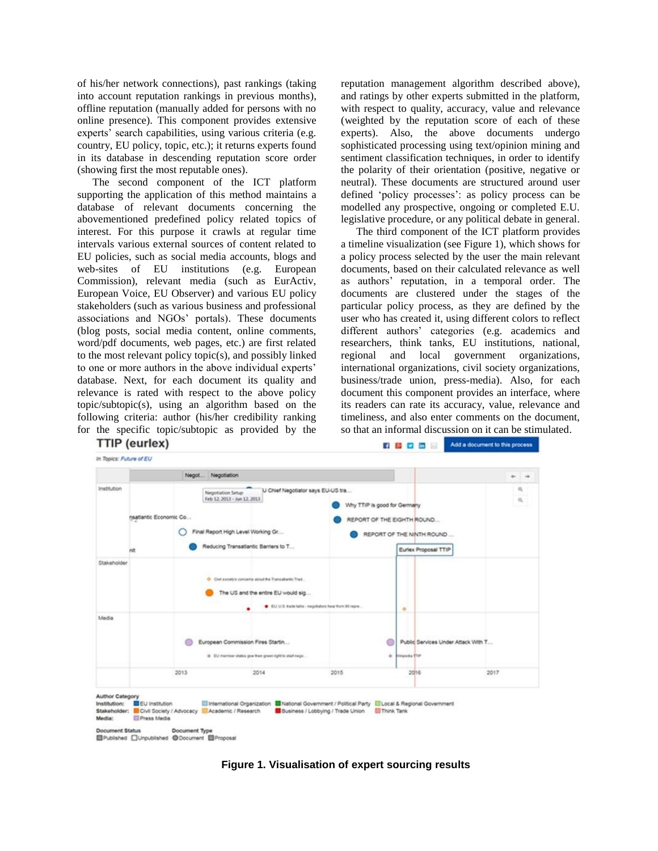of his/her network connections), past rankings (taking into account reputation rankings in previous months), offline reputation (manually added for persons with no online presence). This component provides extensive experts' search capabilities, using various criteria (e.g. country, EU policy, topic, etc.); it returns experts found in its database in descending reputation score order (showing first the most reputable ones).

The second component of the ICT platform supporting the application of this method maintains a database of relevant documents concerning the abovementioned predefined policy related topics of interest. For this purpose it crawls at regular time intervals various external sources of content related to EU policies, such as social media accounts, blogs and web-sites of EU institutions (e.g. European Commission), relevant media (such as EurActiv, European Voice, EU Observer) and various EU policy stakeholders (such as various business and professional associations and NGOs' portals). These documents (blog posts, social media content, online comments, word/pdf documents, web pages, etc.) are first related to the most relevant policy topic(s), and possibly linked to one or more authors in the above individual experts' database. Next, for each document its quality and relevance is rated with respect to the above policy topic/subtopic(s), using an algorithm based on the following criteria: author (his/her credibility ranking for the specific topic/subtopic as provided by the

**TTIP** (eurlex)

reputation management algorithm described above), and ratings by other experts submitted in the platform, with respect to quality, accuracy, value and relevance (weighted by the reputation score of each of these experts). Also, the above documents undergo sophisticated processing using text/opinion mining and sentiment classification techniques, in order to identify the polarity of their orientation (positive, negative or neutral). These documents are structured around user defined 'policy processes': as policy process can be modelled any prospective, ongoing or completed E.U. legislative procedure, or any political debate in general.

The third component of the ICT platform provides a timeline visualization (see Figure 1), which shows for a policy process selected by the user the main relevant documents, based on their calculated relevance as well as authors' reputation, in a temporal order. The documents are clustered under the stages of the particular policy process, as they are defined by the user who has created it, using different colors to reflect different authors' categories (e.g. academics and researchers, think tanks, EU institutions, national, regional and local government organizations, international organizations, civil society organizations, business/trade union, press-media). Also, for each document this component provides an interface, where its readers can rate its accuracy, value, relevance and timeliness, and also enter comments on the document, so that an informal discussion on it can be stimulated.

百日日日日

Add a document to this process



**Figure 1. Visualisation of expert sourcing results**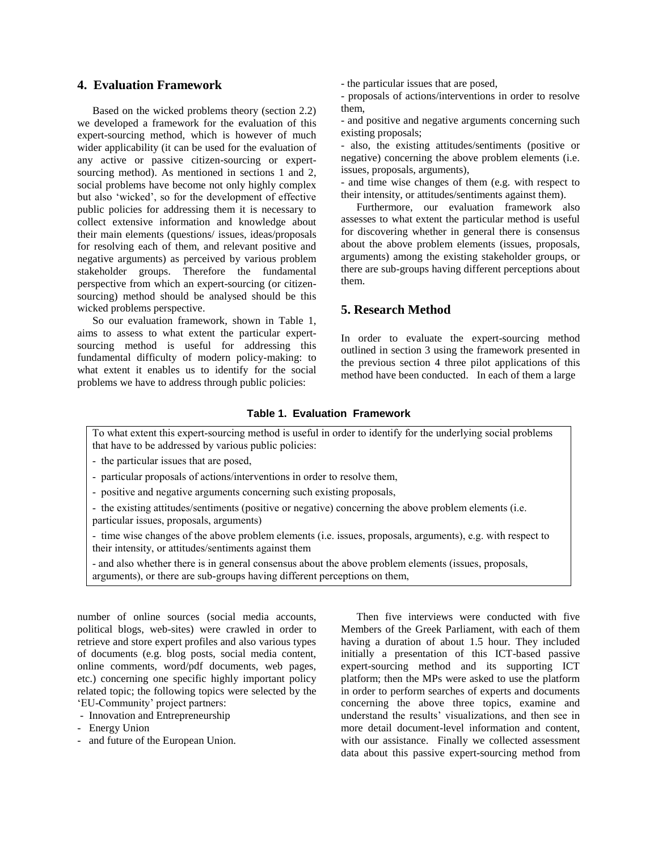### **4. Evaluation Framework**

Based on the wicked problems theory (section 2.2) we developed a framework for the evaluation of this expert-sourcing method, which is however of much wider applicability (it can be used for the evaluation of any active or passive citizen-sourcing or expertsourcing method). As mentioned in sections 1 and 2, social problems have become not only highly complex but also 'wicked', so for the development of effective public policies for addressing them it is necessary to collect extensive information and knowledge about their main elements (questions/ issues, ideas/proposals for resolving each of them, and relevant positive and negative arguments) as perceived by various problem stakeholder groups. Therefore the fundamental perspective from which an expert-sourcing (or citizensourcing) method should be analysed should be this wicked problems perspective.

So our evaluation framework, shown in Table 1, aims to assess to what extent the particular expertsourcing method is useful for addressing this fundamental difficulty of modern policy-making: to what extent it enables us to identify for the social problems we have to address through public policies:

- the particular issues that are posed,

- proposals of actions/interventions in order to resolve them,

- and positive and negative arguments concerning such existing proposals;

- also, the existing attitudes/sentiments (positive or negative) concerning the above problem elements (i.e. issues, proposals, arguments),

- and time wise changes of them (e.g. with respect to their intensity, or attitudes/sentiments against them).

Furthermore, our evaluation framework also assesses to what extent the particular method is useful for discovering whether in general there is consensus about the above problem elements (issues, proposals, arguments) among the existing stakeholder groups, or there are sub-groups having different perceptions about them.

### **5. Research Method**

In order to evaluate the expert-sourcing method outlined in section 3 using the framework presented in the previous section 4 three pilot applications of this method have been conducted. In each of them a large

### **Table 1. Evaluation Framework**

To what extent this expert-sourcing method is useful in order to identify for the underlying social problems that have to be addressed by various public policies:

- the particular issues that are posed,
- particular proposals of actions/interventions in order to resolve them,
- positive and negative arguments concerning such existing proposals,
- the existing attitudes/sentiments (positive or negative) concerning the above problem elements (i.e. particular issues, proposals, arguments)

- time wise changes of the above problem elements (i.e. issues, proposals, arguments), e.g. with respect to their intensity, or attitudes/sentiments against them

- and also whether there is in general consensus about the above problem elements (issues, proposals, arguments), or there are sub-groups having different perceptions on them,

number of online sources (social media accounts, political blogs, web-sites) were crawled in order to retrieve and store expert profiles and also various types of documents (e.g. blog posts, social media content, online comments, word/pdf documents, web pages, etc.) concerning one specific highly important policy related topic; the following topics were selected by the 'EU-Community' project partners:

- Innovation and Entrepreneurship
- Energy Union
- and future of the European Union.

Then five interviews were conducted with five Members of the Greek Parliament, with each of them having a duration of about 1.5 hour. They included initially a presentation of this ICT-based passive expert-sourcing method and its supporting ICT platform; then the MPs were asked to use the platform in order to perform searches of experts and documents concerning the above three topics, examine and understand the results' visualizations, and then see in more detail document-level information and content, with our assistance. Finally we collected assessment data about this passive expert-sourcing method from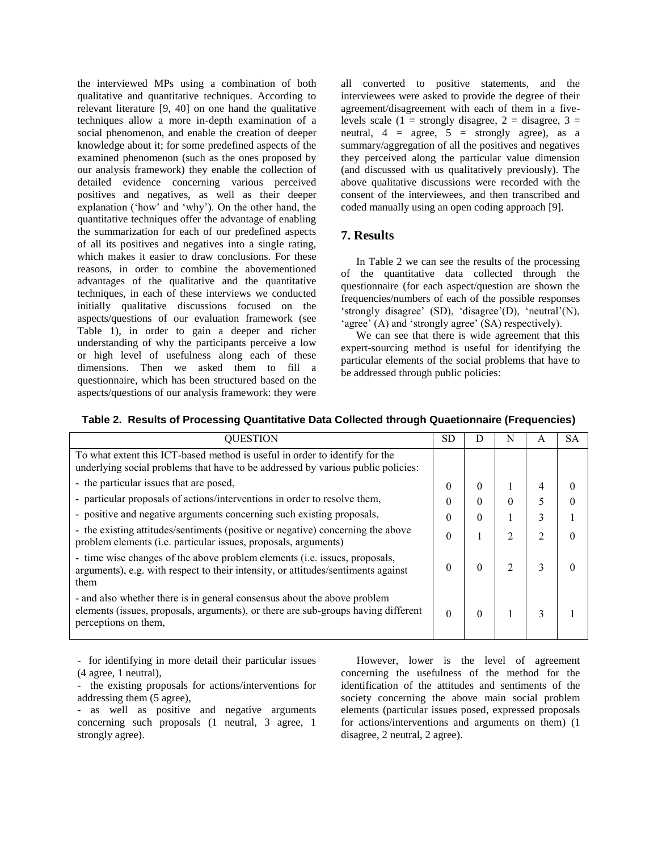the interviewed MPs using a combination of both qualitative and quantitative techniques. According to relevant literature [9, 40] on one hand the qualitative techniques allow a more in-depth examination of a social phenomenon, and enable the creation of deeper knowledge about it; for some predefined aspects of the examined phenomenon (such as the ones proposed by our analysis framework) they enable the collection of detailed evidence concerning various perceived positives and negatives, as well as their deeper explanation ('how' and 'why'). On the other hand, the quantitative techniques offer the advantage of enabling the summarization for each of our predefined aspects of all its positives and negatives into a single rating, which makes it easier to draw conclusions. For these reasons, in order to combine the abovementioned advantages of the qualitative and the quantitative techniques, in each of these interviews we conducted initially qualitative discussions focused on the aspects/questions of our evaluation framework (see Table 1), in order to gain a deeper and richer understanding of why the participants perceive a low or high level of usefulness along each of these dimensions. Then we asked them to fill a questionnaire, which has been structured based on the aspects/questions of our analysis framework: they were

all converted to positive statements, and the interviewees were asked to provide the degree of their agreement/disagreement with each of them in a fivelevels scale (1 = strongly disagree, 2 = disagree, 3 = neutral,  $4 = \text{agree}$ ,  $5 = \text{strongly agree}$ , as a summary/aggregation of all the positives and negatives they perceived along the particular value dimension (and discussed with us qualitatively previously). The above qualitative discussions were recorded with the consent of the interviewees, and then transcribed and coded manually using an open coding approach [9].

### **7. Results**

In Table 2 we can see the results of the processing of the quantitative data collected through the questionnaire (for each aspect/question are shown the frequencies/numbers of each of the possible responses 'strongly disagree' (SD), 'disagree'(D), 'neutral'(N), 'agree' (A) and 'strongly agree' (SA) respectively).

We can see that there is wide agreement that this expert-sourcing method is useful for identifying the particular elements of the social problems that have to be addressed through public policies:

| <b>OUESTION</b>                                                                                                                                                                       | SD |   | N              | A | SА |
|---------------------------------------------------------------------------------------------------------------------------------------------------------------------------------------|----|---|----------------|---|----|
| To what extent this ICT-based method is useful in order to identify for the<br>underlying social problems that have to be addressed by various public policies:                       |    |   |                |   |    |
| - the particular issues that are posed,                                                                                                                                               | 0  | 0 |                | 4 |    |
| - particular proposals of actions/interventions in order to resolve them,                                                                                                             | 0  |   | $\Omega$       |   |    |
| - positive and negative arguments concerning such existing proposals,                                                                                                                 | 0  | 0 |                | 3 |    |
| - the existing attitudes/sentiments (positive or negative) concerning the above<br>problem elements (i.e. particular issues, proposals, arguments)                                    | 0  |   | $\overline{2}$ | 2 |    |
| - time wise changes of the above problem elements (i.e. issues, proposals,<br>arguments), e.g. with respect to their intensity, or attitudes/sentiments against<br>them               | 0  |   |                | 3 |    |
| - and also whether there is in general consensus about the above problem<br>elements (issues, proposals, arguments), or there are sub-groups having different<br>perceptions on them. | 0  |   |                |   |    |

**Table 2. Results of Processing Quantitative Data Collected through Quaetionnaire (Frequencies)**

- for identifying in more detail their particular issues (4 agree, 1 neutral),

However, lower is the level of agreement concerning the usefulness of the method for the identification of the attitudes and sentiments of the society concerning the above main social problem elements (particular issues posed, expressed proposals for actions/interventions and arguments on them) (1 disagree, 2 neutral, 2 agree).

<sup>-</sup> the existing proposals for actions/interventions for addressing them (5 agree),

<sup>-</sup> as well as positive and negative arguments concerning such proposals (1 neutral, 3 agree, 1 strongly agree).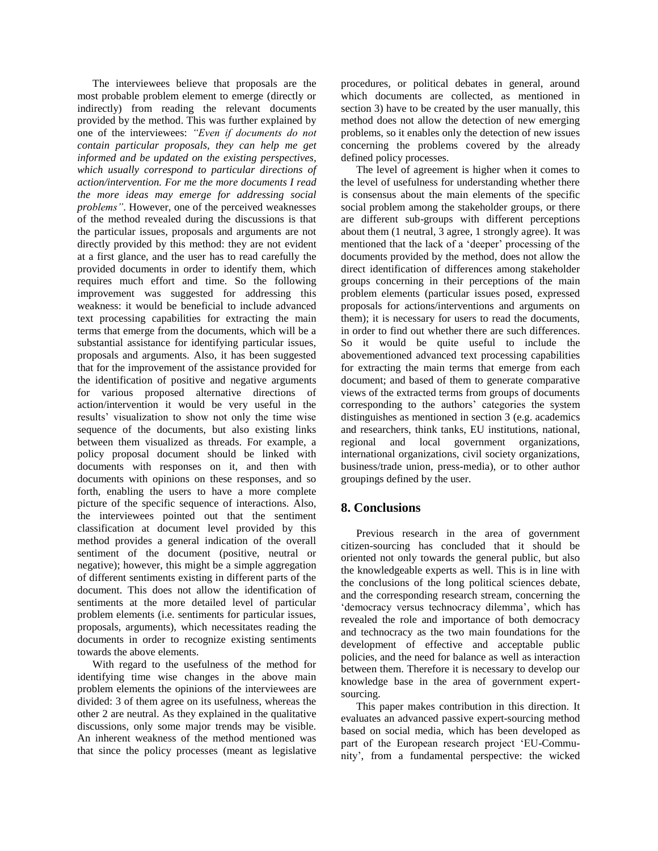The interviewees believe that proposals are the most probable problem element to emerge (directly or indirectly) from reading the relevant documents provided by the method. This was further explained by one of the interviewees: *"Even if documents do not contain particular proposals, they can help me get informed and be updated on the existing perspectives, which usually correspond to particular directions of action/intervention. For me the more documents I read the more ideas may emerge for addressing social problems"*. However, one of the perceived weaknesses of the method revealed during the discussions is that the particular issues, proposals and arguments are not directly provided by this method: they are not evident at a first glance, and the user has to read carefully the provided documents in order to identify them, which requires much effort and time. So the following improvement was suggested for addressing this weakness: it would be beneficial to include advanced text processing capabilities for extracting the main terms that emerge from the documents, which will be a substantial assistance for identifying particular issues, proposals and arguments. Also, it has been suggested that for the improvement of the assistance provided for the identification of positive and negative arguments for various proposed alternative directions of action/intervention it would be very useful in the results' visualization to show not only the time wise sequence of the documents, but also existing links between them visualized as threads. For example, a policy proposal document should be linked with documents with responses on it, and then with documents with opinions on these responses, and so forth, enabling the users to have a more complete picture of the specific sequence of interactions. Also, the interviewees pointed out that the sentiment classification at document level provided by this method provides a general indication of the overall sentiment of the document (positive, neutral or negative); however, this might be a simple aggregation of different sentiments existing in different parts of the document. This does not allow the identification of sentiments at the more detailed level of particular problem elements (i.e. sentiments for particular issues, proposals, arguments), which necessitates reading the documents in order to recognize existing sentiments towards the above elements.

With regard to the usefulness of the method for identifying time wise changes in the above main problem elements the opinions of the interviewees are divided: 3 of them agree on its usefulness, whereas the other 2 are neutral. As they explained in the qualitative discussions, only some major trends may be visible. An inherent weakness of the method mentioned was that since the policy processes (meant as legislative

procedures, or political debates in general, around which documents are collected, as mentioned in section 3) have to be created by the user manually, this method does not allow the detection of new emerging problems, so it enables only the detection of new issues concerning the problems covered by the already defined policy processes.

The level of agreement is higher when it comes to the level of usefulness for understanding whether there is consensus about the main elements of the specific social problem among the stakeholder groups, or there are different sub-groups with different perceptions about them (1 neutral, 3 agree, 1 strongly agree). It was mentioned that the lack of a 'deeper' processing of the documents provided by the method, does not allow the direct identification of differences among stakeholder groups concerning in their perceptions of the main problem elements (particular issues posed, expressed proposals for actions/interventions and arguments on them); it is necessary for users to read the documents, in order to find out whether there are such differences. So it would be quite useful to include the abovementioned advanced text processing capabilities for extracting the main terms that emerge from each document; and based of them to generate comparative views of the extracted terms from groups of documents corresponding to the authors' categories the system distinguishes as mentioned in section 3 (e.g. academics and researchers, think tanks, EU institutions, national, regional and local government organizations, international organizations, civil society organizations, business/trade union, press-media), or to other author groupings defined by the user.

### **8. Conclusions**

Previous research in the area of government citizen-sourcing has concluded that it should be oriented not only towards the general public, but also the knowledgeable experts as well. This is in line with the conclusions of the long political sciences debate, and the corresponding research stream, concerning the 'democracy versus technocracy dilemma', which has revealed the role and importance of both democracy and technocracy as the two main foundations for the development of effective and acceptable public policies, and the need for balance as well as interaction between them. Therefore it is necessary to develop our knowledge base in the area of government expertsourcing.

This paper makes contribution in this direction. It evaluates an advanced passive expert-sourcing method based on social media, which has been developed as part of the European research project 'EU-Community', from a fundamental perspective: the wicked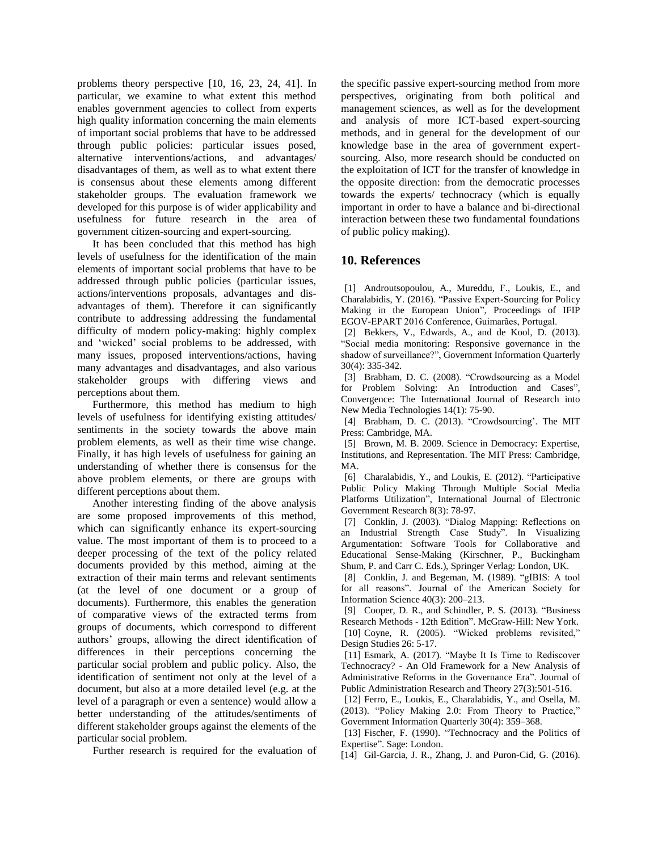problems theory perspective [10, 16, 23, 24, 41]. In particular, we examine to what extent this method enables government agencies to collect from experts high quality information concerning the main elements of important social problems that have to be addressed through public policies: particular issues posed, alternative interventions/actions, and advantages/ disadvantages of them, as well as to what extent there is consensus about these elements among different stakeholder groups. The evaluation framework we developed for this purpose is of wider applicability and usefulness for future research in the area of government citizen-sourcing and expert-sourcing.

It has been concluded that this method has high levels of usefulness for the identification of the main elements of important social problems that have to be addressed through public policies (particular issues, actions/interventions proposals, advantages and disadvantages of them). Therefore it can significantly contribute to addressing addressing the fundamental difficulty of modern policy-making: highly complex and 'wicked' social problems to be addressed, with many issues, proposed interventions/actions, having many advantages and disadvantages, and also various stakeholder groups with differing views and perceptions about them.

Furthermore, this method has medium to high levels of usefulness for identifying existing attitudes/ sentiments in the society towards the above main problem elements, as well as their time wise change. Finally, it has high levels of usefulness for gaining an understanding of whether there is consensus for the above problem elements, or there are groups with different perceptions about them.

Another interesting finding of the above analysis are some proposed improvements of this method, which can significantly enhance its expert-sourcing value. The most important of them is to proceed to a deeper processing of the text of the policy related documents provided by this method, aiming at the extraction of their main terms and relevant sentiments (at the level of one document or a group of documents). Furthermore, this enables the generation of comparative views of the extracted terms from groups of documents, which correspond to different authors' groups, allowing the direct identification of differences in their perceptions concerning the particular social problem and public policy. Also, the identification of sentiment not only at the level of a document, but also at a more detailed level (e.g. at the level of a paragraph or even a sentence) would allow a better understanding of the attitudes/sentiments of different stakeholder groups against the elements of the particular social problem.

Further research is required for the evaluation of

the specific passive expert-sourcing method from more perspectives, originating from both political and management sciences, as well as for the development and analysis of more ICT-based expert-sourcing methods, and in general for the development of our knowledge base in the area of government expertsourcing. Also, more research should be conducted on the exploitation of ICT for the transfer of knowledge in the opposite direction: from the democratic processes towards the experts/ technocracy (which is equally important in order to have a balance and bi-directional interaction between these two fundamental foundations of public policy making).

### **10. References**

[1] Androutsopoulou, A., Mureddu, F., Loukis, E., and Charalabidis, Y. (2016). "Passive Expert-Sourcing for Policy Making in the European Union", Proceedings of IFIP EGOV-EPART 2016 Conference, Guimarães, Portugal.

[2] Bekkers, V., Edwards, A., and de Kool, D. (2013). "Social media monitoring: Responsive governance in the shadow of surveillance?", Government Information Quarterly 30(4): 335-342.

[3] Brabham, D. C. (2008). "Crowdsourcing as a Model for Problem Solving: An Introduction and Cases", Convergence: The International Journal of Research into New Media Technologies 14(1): 75-90.

[4] Brabham, D. C. (2013). "Crowdsourcing'. The MIT Press: Cambridge, MA.

[5] Brown, M. B. 2009. Science in Democracy: Expertise, Institutions, and Representation. The MIT Press: Cambridge, MA.

[6] Charalabidis, Y., and Loukis, E. (2012). "Participative Public Policy Making Through Multiple Social Media Platforms Utilization", International Journal of Electronic Government Research 8(3): 78-97.

[7] Conklin, J. (2003). "Dialog Mapping: Reflections on an Industrial Strength Case Study". In Visualizing Argumentation: Software Tools for Collaborative and Educational Sense-Making (Kirschner, P., Buckingham Shum, P. and Carr C. Eds.), Springer Verlag: London, UK.

[8] Conklin, J. and Begeman, M. (1989). "gIBIS: A tool for all reasons". Journal of the American Society for Information Science 40(3): 200–213.

[9] Cooper, D. R., and Schindler, P. S. (2013). "Business Research Methods - 12th Edition". McGraw-Hill: New York. [10] Coyne, R. (2005). "Wicked problems revisited," Design Studies 26: 5-17.

[11] Esmark, A. (2017). "Maybe It Is Time to Rediscover Technocracy? - An Old Framework for a New Analysis of Administrative Reforms in the Governance Era". Journal of Public Administration Research and Theory 27(3):501-516.

[12] Ferro, E., Loukis, E., Charalabidis, Y., and Osella, M. (2013). "Policy Making 2.0: From Theory to Practice," Government Information Quarterly 30(4): 359–368.

[13] Fischer, F. (1990). "Technocracy and the Politics of Expertise". Sage: London.

[14] Gil-Garcia, J. R., Zhang, J. and Puron-Cid, G. (2016).